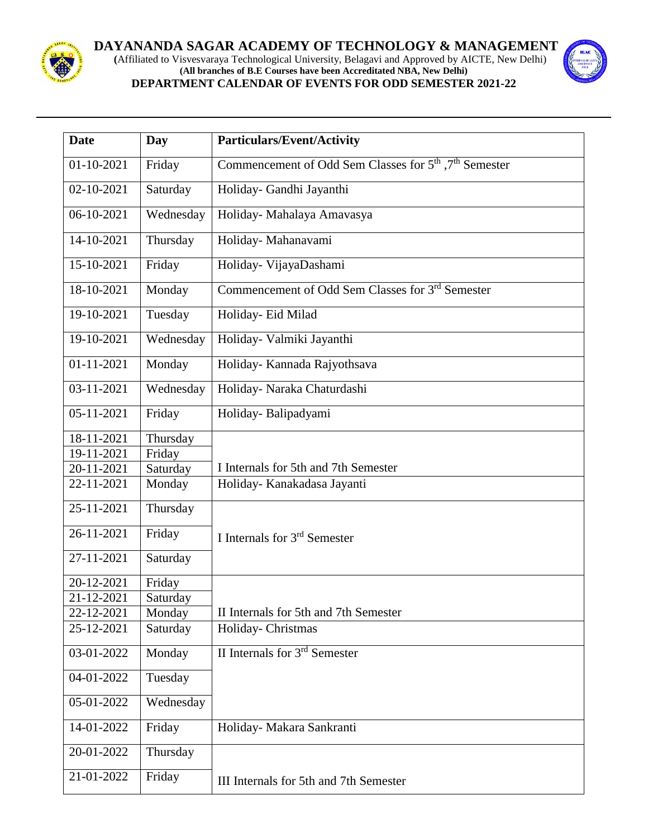

## **DAYANANDA SAGAR ACADEMY OF TECHNOLOGY & MANAGEMENT**

 **(**Affiliated to Visvesvaraya Technological University, Belagavi and Approved by AICTE, New Delhi) **(All branches of B.E Courses have been Accreditated NBA, New Delhi) DEPARTMENT CALENDAR OF EVENTS FOR ODD SEMESTER 2021-22**



| <b>Date</b>                 | Day       | <b>Particulars/Event/Activity</b>                                              |
|-----------------------------|-----------|--------------------------------------------------------------------------------|
| 01-10-2021                  | Friday    | Commencement of Odd Sem Classes for 5 <sup>th</sup> , 7 <sup>th</sup> Semester |
| 02-10-2021                  | Saturday  | Holiday- Gandhi Jayanthi                                                       |
| 06-10-2021                  | Wednesday | Holiday- Mahalaya Amavasya                                                     |
| 14-10-2021                  | Thursday  | Holiday- Mahanavami                                                            |
| 15-10-2021                  |           |                                                                                |
|                             | Friday    | Holiday- VijayaDashami                                                         |
| 18-10-2021                  | Monday    | Commencement of Odd Sem Classes for 3 <sup>rd</sup> Semester                   |
| 19-10-2021                  | Tuesday   | Holiday- Eid Milad                                                             |
| 19-10-2021                  | Wednesday | Holiday- Valmiki Jayanthi                                                      |
| $01 - 11 - 2021$            | Monday    | Holiday- Kannada Rajyothsava                                                   |
| 03-11-2021                  | Wednesday | Holiday- Naraka Chaturdashi                                                    |
| 05-11-2021                  | Friday    | Holiday-Balipadyami                                                            |
| 18-11-2021                  | Thursday  |                                                                                |
| 19-11-2021                  | Friday    |                                                                                |
| 20-11-2021                  | Saturday  | I Internals for 5th and 7th Semester                                           |
| 22-11-2021                  | Monday    | Holiday- Kanakadasa Jayanti                                                    |
| 25-11-2021                  | Thursday  |                                                                                |
| 26-11-2021                  | Friday    | I Internals for $3rd$ Semester                                                 |
| 27-11-2021                  | Saturday  |                                                                                |
| 20-12-2021                  | Friday    |                                                                                |
| 21-12-2021                  | Saturday  |                                                                                |
| 22-12-2021                  | Monday    | II Internals for 5th and 7th Semester                                          |
| 25-12-2021                  | Saturday  | Holiday-Christmas                                                              |
| $\overline{0}3 - 01 - 2022$ | Monday    | II Internals for 3rd Semester                                                  |
| 04-01-2022                  | Tuesday   |                                                                                |
| 05-01-2022                  | Wednesday |                                                                                |
| 14-01-2022                  | Friday    | Holiday- Makara Sankranti                                                      |
| 20-01-2022                  | Thursday  |                                                                                |
| 21-01-2022                  | Friday    | III Internals for 5th and 7th Semester                                         |